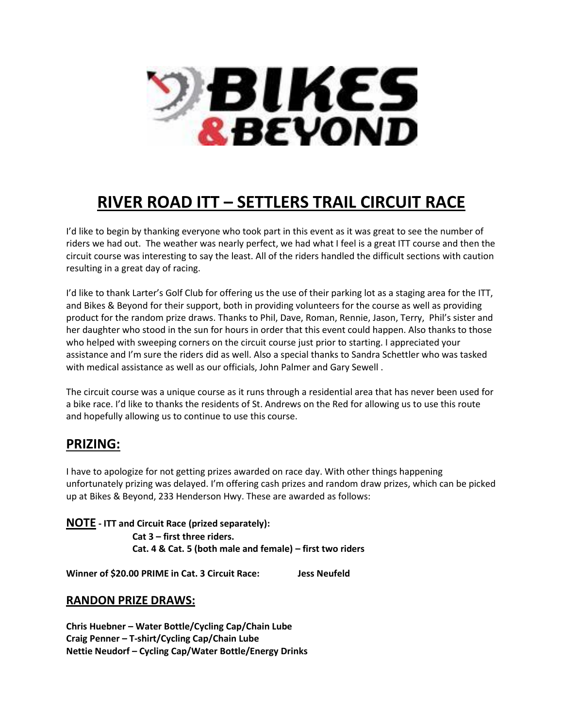

# **RIVER ROAD ITT – SETTLERS TRAIL CIRCUIT RACE**

I'd like to begin by thanking everyone who took part in this event as it was great to see the number of riders we had out. The weather was nearly perfect, we had what I feel is a great ITT course and then the circuit course was interesting to say the least. All of the riders handled the difficult sections with caution resulting in a great day of racing.

I'd like to thank Larter's Golf Club for offering us the use of their parking lot as a staging area for the ITT, and Bikes & Beyond for their support, both in providing volunteers for the course as well as providing product for the random prize draws. Thanks to Phil, Dave, Roman, Rennie, Jason, Terry, Phil's sister and her daughter who stood in the sun for hours in order that this event could happen. Also thanks to those who helped with sweeping corners on the circuit course just prior to starting. I appreciated your assistance and I'm sure the riders did as well. Also a special thanks to Sandra Schettler who was tasked with medical assistance as well as our officials, John Palmer and Gary Sewell .

The circuit course was a unique course as it runs through a residential area that has never been used for a bike race. I'd like to thanks the residents of St. Andrews on the Red for allowing us to use this route and hopefully allowing us to continue to use this course.

### **PRIZING:**

I have to apologize for not getting prizes awarded on race day. With other things happening unfortunately prizing was delayed. I'm offering cash prizes and random draw prizes, which can be picked up at Bikes & Beyond, 233 Henderson Hwy. These are awarded as follows:

**NOTE - ITT and Circuit Race (prized separately): Cat 3 – first three riders. Cat. 4 & Cat. 5 (both male and female) – first two riders**

**Winner of \$20.00 PRIME in Cat. 3 Circuit Race: Jess Neufeld**

#### **RANDON PRIZE DRAWS:**

**Chris Huebner – Water Bottle/Cycling Cap/Chain Lube Craig Penner – T-shirt/Cycling Cap/Chain Lube Nettie Neudorf – Cycling Cap/Water Bottle/Energy Drinks**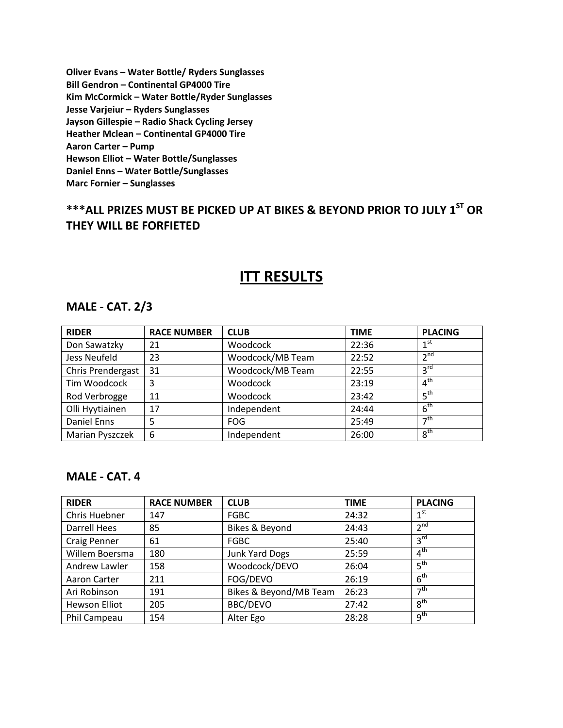**Oliver Evans – Water Bottle/ Ryders Sunglasses Bill Gendron – Continental GP4000 Tire Kim McCormick – Water Bottle/Ryder Sunglasses Jesse Varjeiur – Ryders Sunglasses Jayson Gillespie – Radio Shack Cycling Jersey Heather Mclean – Continental GP4000 Tire Aaron Carter – Pump Hewson Elliot – Water Bottle/Sunglasses Daniel Enns – Water Bottle/Sunglasses Marc Fornier – Sunglasses**

# **\*\*\*ALL PRIZES MUST BE PICKED UP AT BIKES & BEYOND PRIOR TO JULY 1ST OR THEY WILL BE FORFIETED**

## **ITT RESULTS**

#### **MALE - CAT. 2/3**

| <b>RIDER</b>      | <b>RACE NUMBER</b> | <b>CLUB</b>      | <b>TIME</b> | <b>PLACING</b>       |
|-------------------|--------------------|------------------|-------------|----------------------|
| Don Sawatzky      | 21                 | Woodcock         | 22:36       | 1 <sup>st</sup>      |
| Jess Neufeld      | 23                 | Woodcock/MB Team | 22:52       | $2^{nd}$             |
| Chris Prendergast | 31                 | Woodcock/MB Team | 22:55       | 3 <sup>rd</sup>      |
| Tim Woodcock      | 3                  | Woodcock         | 23:19       | 4 <sup>th</sup>      |
| Rod Verbrogge     | 11                 | Woodcock         | 23:42       | 5 <sup>th</sup>      |
| Olli Hyytiainen   | 17                 | Independent      | 24:44       | 6 <sup>th</sup>      |
| Daniel Enns       | 5                  | <b>FOG</b>       | 25:49       | $\neg$ <sup>th</sup> |
| Marian Pyszczek   | 6                  | Independent      | 26:00       | 8 <sup>th</sup>      |

#### **MALE - CAT. 4**

| <b>RIDER</b>        | <b>RACE NUMBER</b> | <b>CLUB</b>            | <b>TIME</b> | <b>PLACING</b>   |
|---------------------|--------------------|------------------------|-------------|------------------|
| Chris Huebner       | 147                | <b>FGBC</b>            | 24:32       | 1 <sup>st</sup>  |
| <b>Darrell Hees</b> | 85                 | Bikes & Beyond         | 24:43       | 2 <sup>nd</sup>  |
| <b>Craig Penner</b> | 61                 | <b>FGBC</b>            | 25:40       | 3 <sup>rd</sup>  |
| Willem Boersma      | 180                | <b>Junk Yard Dogs</b>  | 25:59       | 4 <sup>th</sup>  |
| Andrew Lawler       | 158                | Woodcock/DEVO          | 26:04       | 5 <sup>th</sup>  |
| Aaron Carter        | 211                | FOG/DEVO               | 26:19       | 6 <sup>th</sup>  |
| Ari Robinson        | 191                | Bikes & Beyond/MB Team | 26:23       | $\rightarrow$ th |
| Hewson Elliot       | 205                | BBC/DEVO               | 27:42       | 8 <sup>th</sup>  |
| Phil Campeau        | 154                | Alter Ego              | 28:28       | 9 <sup>th</sup>  |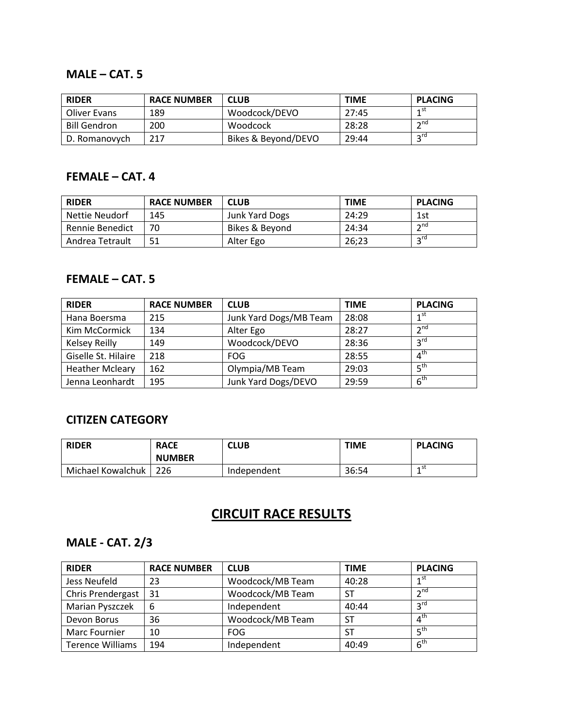#### **MALE – CAT. 5**

| <b>RIDER</b>        | <b>RACE NUMBER</b> | <b>CLUB</b>         | <b>TIME</b> | <b>PLACING</b>  |
|---------------------|--------------------|---------------------|-------------|-----------------|
| Oliver Evans        | 189                | Woodcock/DEVO       | 27:45       | 1st             |
| <b>Bill Gendron</b> | 200                | Woodcock            | 28:28       | $\mathsf{h}$ nd |
| D. Romanovych       | 217                | Bikes & Beyond/DEVO | 29:44       | ord             |

### **FEMALE – CAT. 4**

| <b>RIDER</b>    | <b>RACE NUMBER</b> | <b>CLUB</b>    | <b>TIME</b> | <b>PLACING</b>  |
|-----------------|--------------------|----------------|-------------|-----------------|
| Nettie Neudorf  | 145                | Junk Yard Dogs | 24:29       | 1st             |
| Rennie Benedict | 70                 | Bikes & Beyond | 24:34       | $\mathsf{h}$ nd |
| Andrea Tetrault | 51                 | Alter Ego      | 26;23       | $2^{\text{rd}}$ |

#### **FEMALE – CAT. 5**

| <b>RIDER</b>           | <b>RACE NUMBER</b> | <b>CLUB</b>            | <b>TIME</b> | <b>PLACING</b>  |
|------------------------|--------------------|------------------------|-------------|-----------------|
| Hana Boersma           | 215                | Junk Yard Dogs/MB Team | 28:08       | 1 <sup>st</sup> |
| Kim McCormick          | 134                | Alter Ego              | 28:27       | 2 <sub>nd</sub> |
| <b>Kelsey Reilly</b>   | 149                | Woodcock/DEVO          | 28:36       | $2^{\text{rd}}$ |
| Giselle St. Hilaire    | 218                | FOG.                   | 28:55       | 4 <sup>th</sup> |
| <b>Heather Mcleary</b> | 162                | Olympia/MB Team        | 29:03       | 5 <sup>th</sup> |
| Jenna Leonhardt        | 195                | Junk Yard Dogs/DEVO    | 29:59       | 6 <sup>th</sup> |

### **CITIZEN CATEGORY**

| <b>RIDER</b>      | <b>RACE</b><br><b>NUMBER</b> | <b>CLUB</b> | <b>TIME</b> | <b>PLACING</b> |
|-------------------|------------------------------|-------------|-------------|----------------|
| Michael Kowalchuk | -226                         | Independent | 36:54       | ⊿ st<br>       |

# **CIRCUIT RACE RESULTS**

#### **MALE - CAT. 2/3**

| <b>RIDER</b>            | <b>RACE NUMBER</b> | <b>CLUB</b>      | <b>TIME</b> | <b>PLACING</b>           |
|-------------------------|--------------------|------------------|-------------|--------------------------|
| Jess Neufeld            | 23                 | Woodcock/MB Team | 40:28       | 1 <sup>st</sup>          |
| Chris Prendergast       | 31                 | Woodcock/MB Team | SΤ          | 2 <sub>nd</sub>          |
| Marian Pyszczek         | 6                  | Independent      | 40:44       | $2^{\text{rd}}$          |
| Devon Borus             | 36                 | Woodcock/MB Team | SТ          | $4^{\text{tr}}$          |
| Marc Fournier           | 10                 | <b>FOG</b>       | ST          | $\mathsf{E}^{\text{th}}$ |
| <b>Terence Williams</b> | 194                | Independent      | 40:49       | $6^{\text{th}}$          |